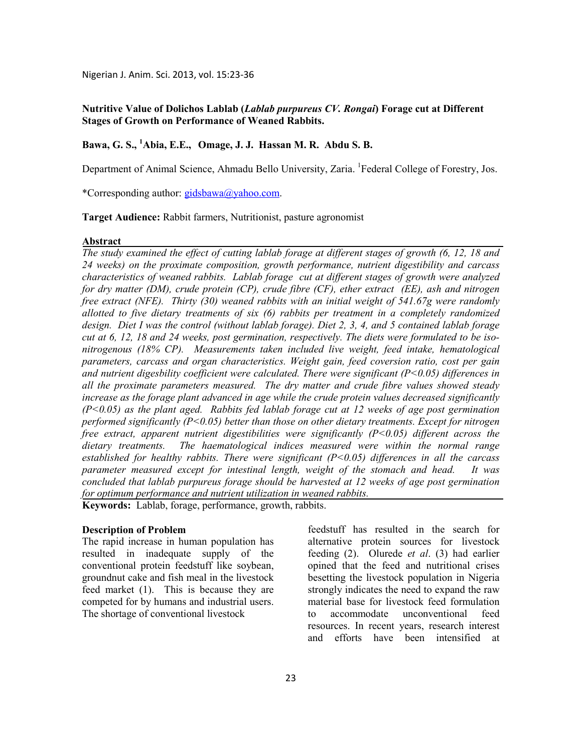Nigerian J. Anim. Sci. 2013, vol. 15:23-36

### **utritive Value of Dolichos Lablab (***Lablab purpureus CV. Rongai***) Forage cut at Different Stages of Growth on Performance of Weaned Rabbits.**

## **Bawa, G. S., <sup>1</sup>Abia, E.E., Omage, J. J. Hassan M. R. Abdu S. B.**

Department of Animal Science, Ahmadu Bello University, Zaria. <sup>1</sup>Federal College of Forestry, Jos.

\*Corresponding author: gidsbawa@yahoo.com.

**Target Audience:** Rabbit farmers, Nutritionist, pasture agronomist

#### **Abstract**

*The study examined the effect of cutting lablab forage at different stages of growth (6, 12, 18 and 24 weeks) on the proximate composition, growth performance, nutrient digestibility and carcass characteristics of weaned rabbits. Lablab forage cut at different stages of growth were analyzed for dry matter (DM), crude protein (CP), crude fibre (CF), ether extract (EE), ash and nitrogen free extract (FE). Thirty (30) weaned rabbits with an initial weight of 541.67g were randomly allotted to five dietary treatments of six (6) rabbits per treatment in a completely randomized design. Diet I was the control (without lablab forage). Diet 2, 3, 4, and 5 contained lablab forage cut at 6, 12, 18 and 24 weeks, post germination, respectively. The diets were formulated to be isonitrogenous (18% CP). Measurements taken included live weight, feed intake, hematological parameters, carcass and organ characteristics. Weight gain, feed coversion ratio, cost per gain and nutrient digesbility coefficient were calculated. There were significant (P<0.05) differences in all the proximate parameters measured. The dry matter and crude fibre values showed steady increase as the forage plant advanced in age while the crude protein values decreased significantly (P<0.05) as the plant aged. Rabbits fed lablab forage cut at 12 weeks of age post germination performed significantly (P<0.05) better than those on other dietary treatments. Except for nitrogen free extract, apparent nutrient digestibilities were significantly (P<0.05) different across the dietary treatments. The haematological indices measured were within the normal range established for healthy rabbits. There were significant (P<0.05) differences in all the carcass parameter measured except for intestinal length, weight of the stomach and head. It was concluded that lablab purpureus forage should be harvested at 12 weeks of age post germination for optimum performance and nutrient utilization in weaned rabbits.* 

**Keywords:** Lablab, forage, performance, growth, rabbits.

### **Description of Problem**

The rapid increase in human population has resulted in inadequate supply of the conventional protein feedstuff like soybean, groundnut cake and fish meal in the livestock feed market (1). This is because they are competed for by humans and industrial users. The shortage of conventional livestock

feedstuff has resulted in the search for alternative protein sources for livestock feeding (2). Olurede *et al*. (3) had earlier opined that the feed and nutritional crises besetting the livestock population in Nigeria strongly indicates the need to expand the raw material base for livestock feed formulation to accommodate unconventional feed resources. In recent years, research interest and efforts have been intensified at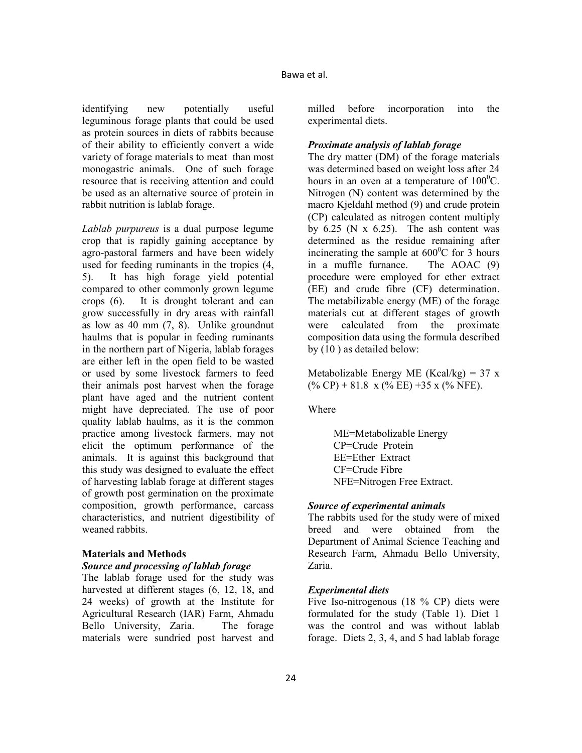identifying new potentially useful leguminous forage plants that could be used as protein sources in diets of rabbits because of their ability to efficiently convert a wide variety of forage materials to meat than most monogastric animals. One of such forage resource that is receiving attention and could be used as an alternative source of protein in rabbit nutrition is lablab forage.

*Lablab purpureus* is a dual purpose legume crop that is rapidly gaining acceptance by agro-pastoral farmers and have been widely used for feeding ruminants in the tropics (4, 5). It has high forage yield potential compared to other commonly grown legume crops (6). It is drought tolerant and can grow successfully in dry areas with rainfall as low as 40 mm (7, 8). Unlike groundnut haulms that is popular in feeding ruminants in the northern part of Nigeria, lablab forages are either left in the open field to be wasted or used by some livestock farmers to feed their animals post harvest when the forage plant have aged and the nutrient content might have depreciated. The use of poor quality lablab haulms, as it is the common practice among livestock farmers, may not elicit the optimum performance of the animals. It is against this background that this study was designed to evaluate the effect of harvesting lablab forage at different stages of growth post germination on the proximate composition, growth performance, carcass characteristics, and nutrient digestibility of weaned rabbits.

# **Materials and Methods**

### *Source and processing of lablab forage*

The lablab forage used for the study was harvested at different stages (6, 12, 18, and 24 weeks) of growth at the Institute for Agricultural Research (IAR) Farm, Ahmadu Bello University, Zaria. The forage materials were sundried post harvest and milled before incorporation into the experimental diets.

### *Proximate analysis of lablab forage*

The dry matter (DM) of the forage materials was determined based on weight loss after 24 hours in an oven at a temperature of  $100^{\circ}$ C. Nitrogen (N) content was determined by the macro Kjeldahl method (9) and crude protein (CP) calculated as nitrogen content multiply by  $6.25$  (N x  $6.25$ ). The ash content was determined as the residue remaining after incinerating the sample at  $600^{\circ}$ C for 3 hours in a muffle furnance. The AOAC (9) procedure were employed for ether extract (EE) and crude fibre (CF) determination. The metabilizable energy (ME) of the forage materials cut at different stages of growth were calculated from the proximate composition data using the formula described by (10 ) as detailed below:

Metabolizable Energy ME (Kcal/kg) =  $37 \text{ x}$  $(\% CP) + 81.8 \times (\% EE) + 35 \times (\% NFE).$ 

Where

ME=Metabolizable Energy CP=Crude Protein EE=Ether Extract CF=Crude Fibre NFE=Nitrogen Free Extract.

### *Source of experimental animals*

The rabbits used for the study were of mixed breed and were obtained from the Department of Animal Science Teaching and Research Farm, Ahmadu Bello University, Zaria.

### *Experimental diets*

Five Iso-nitrogenous (18 % CP) diets were formulated for the study (Table 1). Diet 1 was the control and was without lablab forage. Diets 2, 3, 4, and 5 had lablab forage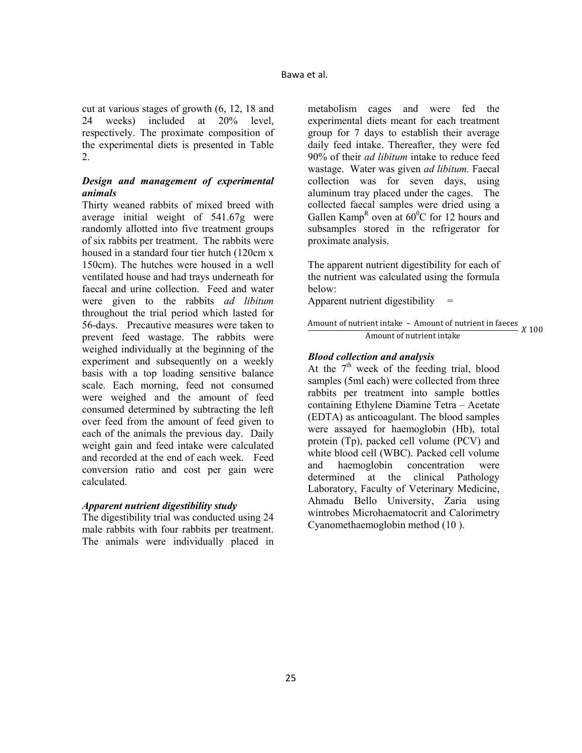cut at various stages of growth (6, 12, 18 and 24 weeks) included at 20% level, respectively. The proximate composition of the experimental diets is presented in Table 2.

## *Design and management of experimental animals*

Thirty weaned rabbits of mixed breed with average initial weight of 541.67g were randomly allotted into five treatment groups of six rabbits per treatment. The rabbits were housed in a standard four tier hutch (120cm x 150cm). The hutches were housed in a well ventilated house and had trays underneath for faecal and urine collection. Feed and water were given to the rabbits *ad libitum*  throughout the trial period which lasted for 56-days. Precautive measures were taken to prevent feed wastage. The rabbits were weighed individually at the beginning of the experiment and subsequently on a weekly basis with a top loading sensitive balance scale. Each morning, feed not consumed were weighed and the amount of feed consumed determined by subtracting the left over feed from the amount of feed given to each of the animals the previous day. Daily weight gain and feed intake were calculated and recorded at the end of each week. Feed conversion ratio and cost per gain were calculated.

### *Apparent nutrient digestibility study*

The digestibility trial was conducted using 24 male rabbits with four rabbits per treatment. The animals were individually placed in

metabolism cages and were fed the experimental diets meant for each treatment group for 7 days to establish their average daily feed intake. Thereafter, they were fed 90% of their *ad libitum* intake to reduce feed wastage. Water was given *ad libitum.* Faecal collection was for seven days, using aluminum tray placed under the cages. The collected faecal samples were dried using a Gallen Kamp<sup>R</sup> oven at  $60^{\circ}$ C for 12 hours and subsamples stored in the refrigerator for proximate analysis.

The apparent nutrient digestibility for each of the nutrient was calculated using the formula below:

Apparent nutrient digestibility  $=$ 

Amount of nutrient intake – Amount of nutrient in faeces <br>Amount of nutrient intake  $X$  100

## *Blood collection and analysis*

At the  $7<sup>th</sup>$  week of the feeding trial, blood samples (5ml each) were collected from three rabbits per treatment into sample bottles containing Ethylene Diamine Tetra – Acetate (EDTA) as anticoagulant. The blood samples were assayed for haemoglobin (Hb), total protein (Tp), packed cell volume (PCV) and white blood cell (WBC). Packed cell volume and haemoglobin concentration were determined at the clinical Pathology Laboratory, Faculty of Veterinary Medicine, Ahmadu Bello University, Zaria using wintrobes Microhaematocrit and Calorimetry Cyanomethaemoglobin method (10 ).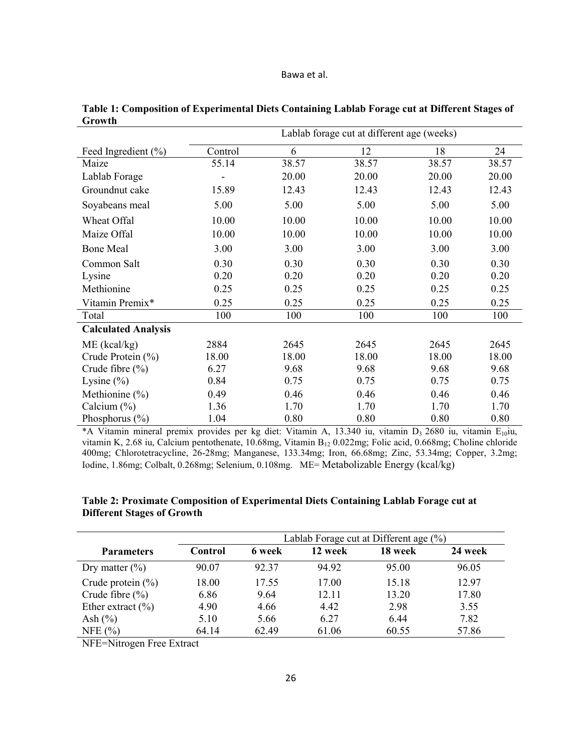#### Bawa et al.

|                            | Lablab forage cut at different age (weeks) |       |       |       |       |  |  |
|----------------------------|--------------------------------------------|-------|-------|-------|-------|--|--|
| Feed Ingredient $(\% )$    | Control                                    | 6     | 12    | 18    | 24    |  |  |
| Maize                      | 55.14                                      | 38.57 | 38.57 | 38.57 | 38.57 |  |  |
| Lablab Forage              |                                            | 20.00 | 20.00 | 20.00 | 20.00 |  |  |
| Groundnut cake             | 15.89                                      | 12.43 | 12.43 | 12.43 | 12.43 |  |  |
| Soyabeans meal             | 5.00                                       | 5.00  | 5.00  | 5.00  | 5.00  |  |  |
| Wheat Offal                | 10.00                                      | 10.00 | 10.00 | 10.00 | 10.00 |  |  |
| Maize Offal                | 10.00                                      | 10.00 | 10.00 | 10.00 | 10.00 |  |  |
| <b>Bone Meal</b>           | 3.00                                       | 3.00  | 3.00  | 3.00  | 3.00  |  |  |
| Common Salt                | 0.30                                       | 0.30  | 0.30  | 0.30  | 0.30  |  |  |
| Lysine                     | 0.20                                       | 0.20  | 0.20  | 0.20  | 0.20  |  |  |
| Methionine                 | 0.25                                       | 0.25  | 0.25  | 0.25  | 0.25  |  |  |
| Vitamin Premix*            | 0.25                                       | 0.25  | 0.25  | 0.25  | 0.25  |  |  |
| Total                      | 100                                        | 100   | 100   | 100   | 100   |  |  |
| <b>Calculated Analysis</b> |                                            |       |       |       |       |  |  |
| $ME$ (kcal/kg)             | 2884                                       | 2645  | 2645  | 2645  | 2645  |  |  |
| Crude Protein $(\% )$      | 18.00                                      | 18.00 | 18.00 | 18.00 | 18.00 |  |  |
| Crude fibre $(\% )$        | 6.27                                       | 9.68  | 9.68  | 9.68  | 9.68  |  |  |
| Lysine $(\% )$             | 0.84                                       | 0.75  | 0.75  | 0.75  | 0.75  |  |  |
| Methionine $(\% )$         | 0.49                                       | 0.46  | 0.46  | 0.46  | 0.46  |  |  |
| Calcium $(\% )$            | 1.36                                       | 1.70  | 1.70  | 1.70  | 1.70  |  |  |
| Phosphorus $(\% )$         | 1.04                                       | 0.80  | 0.80  | 0.80  | 0.80  |  |  |

**Table 1: Composition of Experimental Diets Containing Lablab Forage cut at Different Stages of Growth** 

\*A Vitamin mineral premix provides per kg diet: Vitamin A, 13.340 iu, vitamin D<sub>3</sub> 2680 iu, vitamin E<sub>10</sub>iu, vitamin K, 2.68 iu, Calcium pentothenate, 10.68mg, Vitamin B<sub>12</sub> 0.022mg; Folic acid, 0.668mg; Choline chloride 400mg; Chlorotetracycline, 26-28mg; Manganese, 133.34mg; Iron, 66.68mg; Zinc, 53.34mg; Copper, 3.2mg; Iodine, 1.86mg; Colbalt, 0.268mg; Selenium, 0.108mg. ME= Metabolizable Energy (kcal/kg)

## **Table 2: Proximate Composition of Experimental Diets Containing Lablab Forage cut at Different Stages of Growth**

|                       | Lablab Forage cut at Different age (%) |        |         |         |         |  |  |
|-----------------------|----------------------------------------|--------|---------|---------|---------|--|--|
| <b>Parameters</b>     | Control                                | 6 week | 12 week | 18 week | 24 week |  |  |
| Dry matter $(\%)$     | 90.07                                  | 92 37  | 94.92   | 95.00   | 96.05   |  |  |
| Crude protein $(\% )$ | 18.00                                  | 17.55  | 17.00   | 15.18   | 1297    |  |  |
| Crude fibre $(\% )$   | 6.86                                   | 9.64   | 12.11   | 13.20   | 17.80   |  |  |
| Ether extract $(\% )$ | 4.90                                   | 4.66   | 4.42    | 2.98    | 3.55    |  |  |
| Ash $(\% )$           | 5.10                                   | 5.66   | 6.27    | 6.44    | 7.82    |  |  |
| NFE $(%)$             | 64.14                                  | 62.49  | 61.06   | 60.55   | 57.86   |  |  |

NFE=Nitrogen Free Extract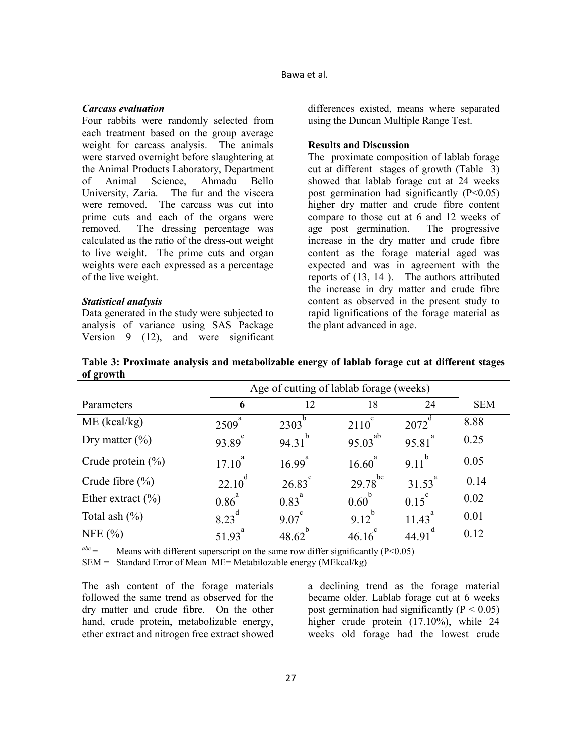### *Carcass evaluation*

Four rabbits were randomly selected from each treatment based on the group average weight for carcass analysis. The animals were starved overnight before slaughtering at the Animal Products Laboratory, Department of Animal Science, Ahmadu Bello University, Zaria. The fur and the viscera were removed. The carcass was cut into prime cuts and each of the organs were removed. The dressing percentage was calculated as the ratio of the dress-out weight to live weight. The prime cuts and organ weights were each expressed as a percentage of the live weight.

### *Statistical analysis*

Data generated in the study were subjected to analysis of variance using SAS Package Version 9 (12), and were significant differences existed, means where separated using the Duncan Multiple Range Test.

#### **Results and Discussion**

The proximate composition of lablab forage cut at different stages of growth (Table 3) showed that lablab forage cut at 24 weeks post germination had significantly  $(P<0.05)$ higher dry matter and crude fibre content compare to those cut at 6 and 12 weeks of age post germination. The progressive increase in the dry matter and crude fibre content as the forage material aged was expected and was in agreement with the reports of (13, 14 ). The authors attributed the increase in dry matter and crude fibre content as observed in the present study to rapid lignifications of the forage material as the plant advanced in age.

 Age of cutting of lablab forage (weeks) Parameters **6** 12 18 24 SEM  $ME$  (kcal/kg)  $2509^{a}$  $2303^b$ 2110<sup>c</sup> 2072<sup>d</sup> 8.88 Dry matter  $(\% )$  $93.89^{\circ}$ 94.31<sup>b</sup> 95.03 ab 95.81 a 0.25 Crude protein  $(\% )$  $17.10^{a}$  $16.99<sup>a</sup>$  $16.60^{a}$  $9.11^{b}$ 0.05 Crude fibre  $(\% )$  $22.10^d$  $26.83^c$  $29.78^{\rm bc}$ 31.53<sup>a</sup> 0.14 Ether extract  $(\% )$  $0.86$ <sup>a</sup>  $0.83^{a}$  $0.60^b$  $0.15^{\circ}$ 0.02 Total ash  $(\%)$  $823^d$  9.07 c 9.12<sup>b</sup> 11.43 a 0.01 NFE  $(\% )$  $51.93^{a}$  48.62 b  $46.16^{\circ}$  $44.91$ <sup>d</sup> 0.12

**Table 3: Proximate analysis and metabolizable energy of lablab forage cut at different stages of growth**

 $a^{abc}$  = Means with different superscript on the same row differ significantly (P<0.05)

SEM = Standard Error of Mean ME= Metabilozable energy (MEkcal/kg)

The ash content of the forage materials followed the same trend as observed for the dry matter and crude fibre. On the other hand, crude protein, metabolizable energy, ether extract and nitrogen free extract showed

a declining trend as the forage material became older. Lablab forage cut at 6 weeks post germination had significantly ( $P < 0.05$ ) higher crude protein  $(17.10\%)$ , while 24 weeks old forage had the lowest crude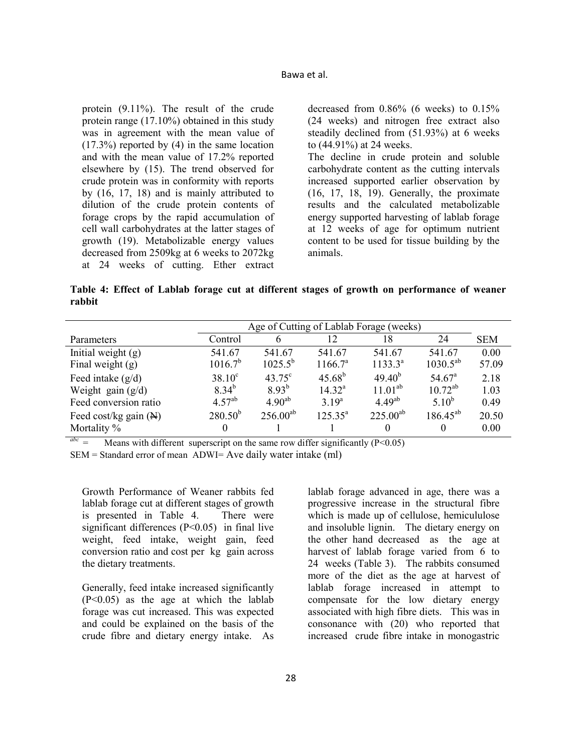protein (9.11%). The result of the crude protein range (17.10%) obtained in this study was in agreement with the mean value of (17.3%) reported by (4) in the same location and with the mean value of 17.2% reported elsewhere by (15). The trend observed for crude protein was in conformity with reports by (16, 17, 18) and is mainly attributed to dilution of the crude protein contents of forage crops by the rapid accumulation of cell wall carbohydrates at the latter stages of growth (19). Metabolizable energy values decreased from 2509kg at 6 weeks to 2072kg at 24 weeks of cutting. Ether extract decreased from 0.86% (6 weeks) to 0.15% (24 weeks) and nitrogen free extract also steadily declined from (51.93%) at 6 weeks to (44.91%) at 24 weeks. The decline in crude protein and soluble

carbohydrate content as the cutting intervals increased supported earlier observation by (16, 17, 18, 19). Generally, the proximate results and the calculated metabolizable energy supported harvesting of lablab forage at 12 weeks of age for optimum nutrient content to be used for tissue building by the animals.

**Table 4: Effect of Lablab forage cut at different stages of growth on performance of weaner rabbit**

|                                  | Age of Cutting of Lablab Forage (weeks) |                 |                     |               |                    |            |  |
|----------------------------------|-----------------------------------------|-----------------|---------------------|---------------|--------------------|------------|--|
| Parameters                       | Control                                 | <sub>(b)</sub>  |                     | 18            | 24                 | <b>SEM</b> |  |
| Initial weight $(g)$             | 541.67                                  | 541.67          | 541.67              | 541.67        | 541.67             | 0.00       |  |
| Final weight $(g)$               | $1016.7^b$                              | $1025.5^{b}$    | 1166.7 <sup>a</sup> | $1133.3^{a}$  | $1030.5^{ab}$      | 57.09      |  |
| Feed intake $(g/d)$              | $38.10^c$                               | $43.75^{\circ}$ | $45.68^{b}$         | $49.40^{b}$   | 54.67 <sup>a</sup> | 2.18       |  |
| Weight gain $(g/d)$              | $8.34^{b}$                              | $8.93^{b}$      | 14.32 <sup>a</sup>  | $11.01^{ab}$  | $10.72^{ab}$       | 1.03       |  |
| Feed conversion ratio            | $4.57^{ab}$                             | $4.90^{ab}$     | $3.19^{a}$          | $4.49^{ab}$   | $5.10^{b}$         | 0.49       |  |
| Feed cost/kg gain $(\mathbb{N})$ | $280.50^{b}$                            | $256.00^{ab}$   | $125.35^{a}$        | $225.00^{ab}$ | $186.45^{ab}$      | 20.50      |  |
| Mortality %                      | $\Omega$                                |                 |                     | $\theta$      | $\theta$           | 0.00       |  |

Means with different superscript on the same row differ significantly  $(P<0.05)$ 

SEM = Standard error of mean ADWI= Ave daily water intake (ml)

Growth Performance of Weaner rabbits fed lablab forage cut at different stages of growth is presented in Table 4. There were significant differences (P<0.05) in final live weight, feed intake, weight gain, feed conversion ratio and cost per kg gain across the dietary treatments.

Generally, feed intake increased significantly (P<0.05) as the age at which the lablab forage was cut increased. This was expected and could be explained on the basis of the crude fibre and dietary energy intake. As

lablab forage advanced in age, there was a progressive increase in the structural fibre which is made up of cellulose, hemicululose and insoluble lignin. The dietary energy on the other hand decreased as the age at harvest of lablab forage varied from 6 to 24 weeks (Table 3). The rabbits consumed more of the diet as the age at harvest of lablab forage increased in attempt to compensate for the low dietary energy associated with high fibre diets. This was in consonance with (20) who reported that increased crude fibre intake in monogastric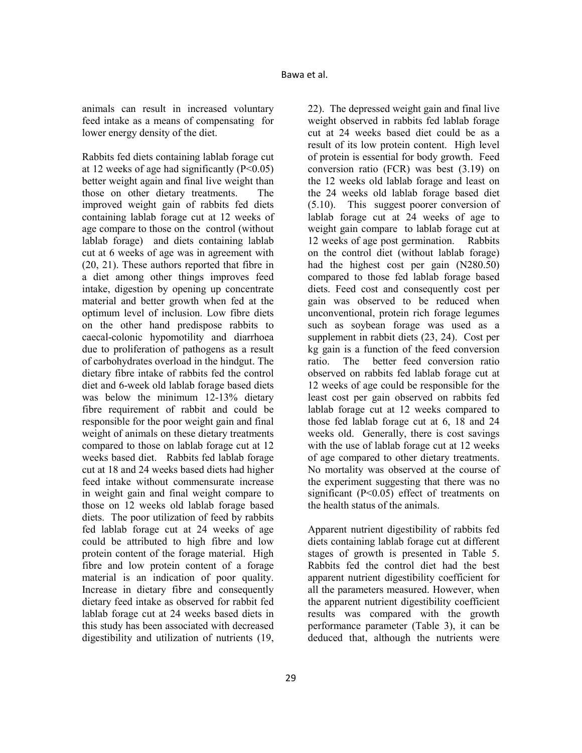animals can result in increased voluntary feed intake as a means of compensating for lower energy density of the diet.

Rabbits fed diets containing lablab forage cut at 12 weeks of age had significantly  $(P<0.05)$ better weight again and final live weight than those on other dietary treatments. The improved weight gain of rabbits fed diets containing lablab forage cut at 12 weeks of age compare to those on the control (without lablab forage) and diets containing lablab cut at 6 weeks of age was in agreement with (20, 21). These authors reported that fibre in a diet among other things improves feed intake, digestion by opening up concentrate material and better growth when fed at the optimum level of inclusion. Low fibre diets on the other hand predispose rabbits to caecal-colonic hypomotility and diarrhoea due to proliferation of pathogens as a result of carbohydrates overload in the hindgut. The dietary fibre intake of rabbits fed the control diet and 6-week old lablab forage based diets was below the minimum 12-13% dietary fibre requirement of rabbit and could be responsible for the poor weight gain and final weight of animals on these dietary treatments compared to those on lablab forage cut at 12 weeks based diet. Rabbits fed lablab forage cut at 18 and 24 weeks based diets had higher feed intake without commensurate increase in weight gain and final weight compare to those on 12 weeks old lablab forage based diets. The poor utilization of feed by rabbits fed lablab forage cut at 24 weeks of age could be attributed to high fibre and low protein content of the forage material. High fibre and low protein content of a forage material is an indication of poor quality. Increase in dietary fibre and consequently dietary feed intake as observed for rabbit fed lablab forage cut at 24 weeks based diets in this study has been associated with decreased digestibility and utilization of nutrients (19,

22). The depressed weight gain and final live weight observed in rabbits fed lablab forage cut at 24 weeks based diet could be as a result of its low protein content. High level of protein is essential for body growth. Feed conversion ratio (FCR) was best (3.19) on the 12 weeks old lablab forage and least on the 24 weeks old lablab forage based diet (5.10). This suggest poorer conversion of lablab forage cut at 24 weeks of age to weight gain compare to lablab forage cut at 12 weeks of age post germination. Rabbits on the control diet (without lablab forage) had the highest cost per gain (N280.50) compared to those fed lablab forage based diets. Feed cost and consequently cost per gain was observed to be reduced when unconventional, protein rich forage legumes such as soybean forage was used as a supplement in rabbit diets (23, 24). Cost per kg gain is a function of the feed conversion ratio. The better feed conversion ratio observed on rabbits fed lablab forage cut at 12 weeks of age could be responsible for the least cost per gain observed on rabbits fed lablab forage cut at 12 weeks compared to those fed lablab forage cut at 6, 18 and 24 weeks old. Generally, there is cost savings with the use of lablab forage cut at 12 weeks of age compared to other dietary treatments. No mortality was observed at the course of the experiment suggesting that there was no significant (P<0.05) effect of treatments on the health status of the animals.

Apparent nutrient digestibility of rabbits fed diets containing lablab forage cut at different stages of growth is presented in Table 5. Rabbits fed the control diet had the best apparent nutrient digestibility coefficient for all the parameters measured. However, when the apparent nutrient digestibility coefficient results was compared with the growth performance parameter (Table 3), it can be deduced that, although the nutrients were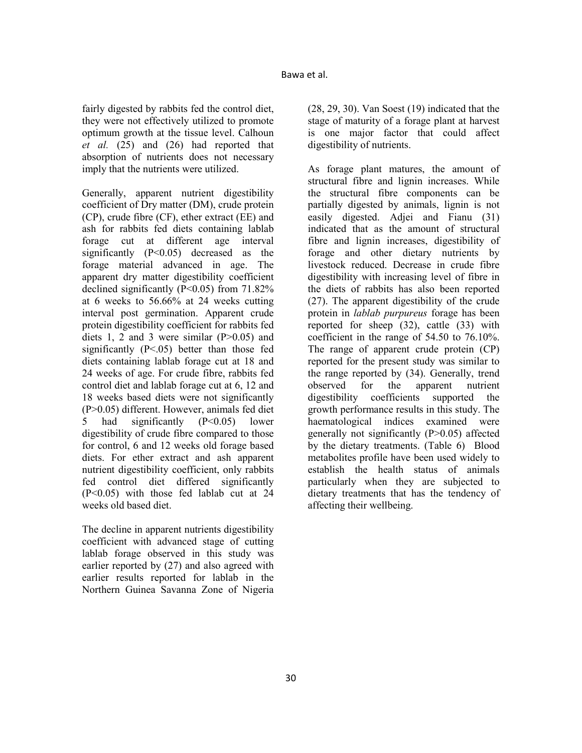fairly digested by rabbits fed the control diet, they were not effectively utilized to promote optimum growth at the tissue level. Calhoun *et al.* (25) and (26) had reported that absorption of nutrients does not necessary imply that the nutrients were utilized.

Generally, apparent nutrient digestibility coefficient of Dry matter (DM), crude protein (CP), crude fibre (CF), ether extract (EE) and ash for rabbits fed diets containing lablab forage cut at different age interval significantly  $(P<0.05)$  decreased as the forage material advanced in age. The apparent dry matter digestibility coefficient declined significantly  $(P<0.05)$  from 71.82% at 6 weeks to 56.66% at 24 weeks cutting interval post germination. Apparent crude protein digestibility coefficient for rabbits fed diets 1, 2 and 3 were similar  $(P>0.05)$  and significantly  $(P<.05)$  better than those fed diets containing lablab forage cut at 18 and 24 weeks of age. For crude fibre, rabbits fed control diet and lablab forage cut at 6, 12 and 18 weeks based diets were not significantly (P>0.05) different. However, animals fed diet 5 had significantly (P<0.05) lower digestibility of crude fibre compared to those for control, 6 and 12 weeks old forage based diets. For ether extract and ash apparent nutrient digestibility coefficient, only rabbits fed control diet differed significantly (P<0.05) with those fed lablab cut at 24 weeks old based diet.

The decline in apparent nutrients digestibility coefficient with advanced stage of cutting lablab forage observed in this study was earlier reported by (27) and also agreed with earlier results reported for lablab in the Northern Guinea Savanna Zone of Nigeria (28, 29, 30). Van Soest (19) indicated that the stage of maturity of a forage plant at harvest is one major factor that could affect digestibility of nutrients.

As forage plant matures, the amount of structural fibre and lignin increases. While the structural fibre components can be partially digested by animals, lignin is not easily digested. Adjei and Fianu (31) indicated that as the amount of structural fibre and lignin increases, digestibility of forage and other dietary nutrients by livestock reduced. Decrease in crude fibre digestibility with increasing level of fibre in the diets of rabbits has also been reported (27). The apparent digestibility of the crude protein in *lablab purpureus* forage has been reported for sheep (32), cattle (33) with coefficient in the range of 54.50 to 76.10%. The range of apparent crude protein (CP) reported for the present study was similar to the range reported by (34). Generally, trend observed for the apparent nutrient digestibility coefficients supported the growth performance results in this study. The haematological indices examined were generally not significantly (P>0.05) affected by the dietary treatments. (Table 6) Blood metabolites profile have been used widely to establish the health status of animals particularly when they are subjected to dietary treatments that has the tendency of affecting their wellbeing.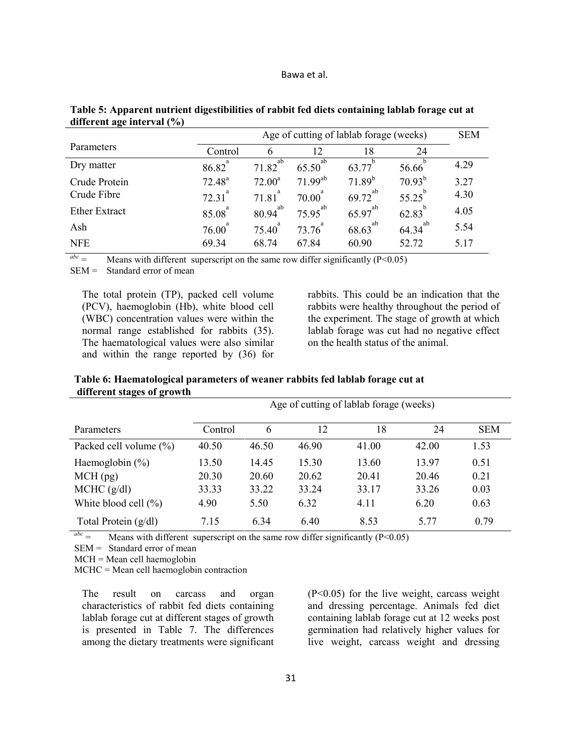| Bawa et al. |  |
|-------------|--|
|-------------|--|

|                      |            | Age of cutting of lablab forage (weeks) | <b>SEM</b>   |             |             |      |
|----------------------|------------|-----------------------------------------|--------------|-------------|-------------|------|
| Parameters           | Control    | 6                                       | 12           | 18          | 24          |      |
| Dry matter           | a<br>86.82 | ab<br>71.82                             | ab<br>65.50  | 63.77       | 56.66       | 4.29 |
| Crude Protein        | $72.48^a$  | $72.00^a$                               | $71.99^{ab}$ | $71.89^{b}$ | $70.93^{b}$ | 3.27 |
| Crude Fibre          | 72.31      | a<br>7181                               | a<br>70.00   | ab<br>69.72 | 55.25       | 4.30 |
| <b>Ether Extract</b> | 85.08      | ab<br>80.94                             | ab<br>75.95  | ab<br>65.97 | 62.83       | 4.05 |
| Ash                  | 76.00      | 75.40                                   | 73.76        | ab<br>68.63 | ab<br>64.34 | 5.54 |
| <b>NFE</b>           | 69.34      | 68.74                                   | 67.84        | 60.90       | 52.72       | 5.17 |

**Table 5: Apparent nutrient digestibilities of rabbit fed diets containing lablab forage cut at different age interval (%)** 

 $a^{abc}$  = Means with different superscript on the same row differ significantly (P<0.05)

SEM = Standard error of mean

The total protein (TP), packed cell volume (PCV), haemoglobin (Hb), white blood cell (WBC) concentration values were within the normal range established for rabbits (35). The haematological values were also similar and within the range reported by (36) for rabbits. This could be an indication that the rabbits were healthy throughout the period of the experiment. The stage of growth at which lablab forage was cut had no negative effect on the health status of the animal.

|                           |         |       |       | Age of cutting of lablab forage (weeks) |       |            |  |
|---------------------------|---------|-------|-------|-----------------------------------------|-------|------------|--|
| <b>Parameters</b>         | Control | 6     | 12    | 18                                      | 24    | <b>SEM</b> |  |
| Packed cell volume $(\%)$ | 40.50   | 46.50 | 46.90 | 41.00                                   | 42.00 | 1.53       |  |
| Haemoglobin $(\% )$       | 13.50   | 14.45 | 15.30 | 13.60                                   | 13.97 | 0.51       |  |
| $MCH$ (pg)                | 20.30   | 20.60 | 20.62 | 20.41                                   | 20.46 | 0.21       |  |
| MCHC (g/dl)               | 33.33   | 33.22 | 33.24 | 33.17                                   | 33.26 | 0.03       |  |
| White blood cell $(\% )$  | 4.90    | 5.50  | 6.32  | 4.11                                    | 6.20  | 0.63       |  |
| Total Protein $(g/dl)$    | 7.15    | 6.34  | 6.40  | 8.53                                    | 5 77  | 0.79       |  |

**Table 6: Haematological parameters of weaner rabbits fed lablab forage cut at different stages of growth** 

 $\frac{abc}{c}$  = Means with different superscript on the same row differ significantly (P<0.05)

SEM = Standard error of mean

MCH = Mean cell haemoglobin

MCHC = Mean cell haemoglobin contraction

The result on carcass and organ characteristics of rabbit fed diets containing lablab forage cut at different stages of growth is presented in Table 7. The differences among the dietary treatments were significant (P<0.05) for the live weight, carcass weight and dressing percentage. Animals fed diet containing lablab forage cut at 12 weeks post germination had relatively higher values for live weight, carcass weight and dressing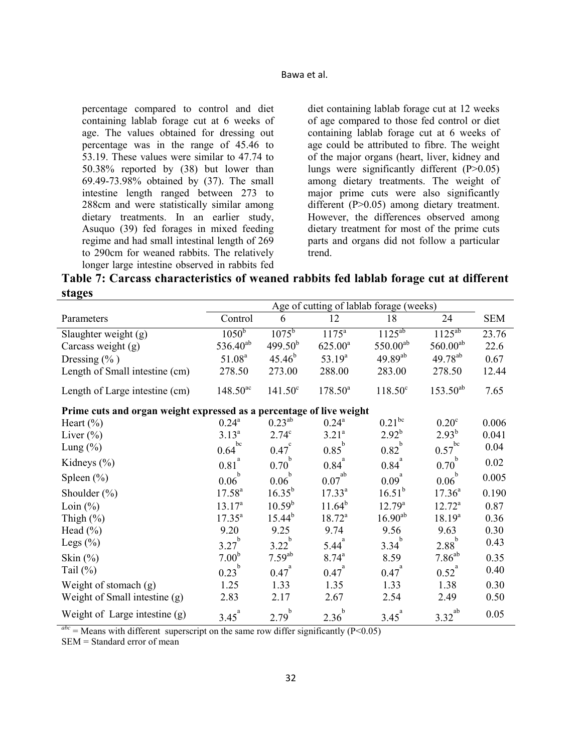Bawa et al.

percentage compared to control and diet containing lablab forage cut at 6 weeks of age. The values obtained for dressing out percentage was in the range of 45.46 to 53.19. These values were similar to 47.74 to 50.38% reported by (38) but lower than 69.49-73.98% obtained by (37). The small intestine length ranged between 273 to 288cm and were statistically similar among dietary treatments. In an earlier study, Asuquo (39) fed forages in mixed feeding regime and had small intestinal length of 269 to 290cm for weaned rabbits. The relatively longer large intestine observed in rabbits fed diet containing lablab forage cut at 12 weeks of age compared to those fed control or diet containing lablab forage cut at 6 weeks of age could be attributed to fibre. The weight of the major organs (heart, liver, kidney and lungs were significantly different (P>0.05) among dietary treatments. The weight of major prime cuts were also significantly different (P>0.05) among dietary treatment. However, the differences observed among dietary treatment for most of the prime cuts parts and organs did not follow a particular trend.

**Table 7: Carcass characteristics of weaned rabbits fed lablab forage cut at different stages** 

|                                                                      | Age of cutting of lablab forage (weeks) |                     |                     |                  |                      |            |  |
|----------------------------------------------------------------------|-----------------------------------------|---------------------|---------------------|------------------|----------------------|------------|--|
| Parameters                                                           | Control                                 | 6                   | 12                  | 18               | 24                   | <b>SEM</b> |  |
| Slaughter weight (g)                                                 | $10\overline{50^b}$                     | $1075^{\rm b}$      | $1175^a$            | $1125^{ab}$      | $1125^{ab}$          | 23.76      |  |
| Carcass weight $(g)$                                                 | $536.40^{ab}$                           | 499.50 <sup>b</sup> | $625.00^a$          | $550.00^{ab}$    | $560.00^{ab}$        | 22.6       |  |
| Dressing $(\%$ )                                                     | 51.08 <sup>a</sup>                      | $45.46^{b}$         | $53.19^{a}$         | $49.89^{ab}$     | $49.78^{ab}$         | 0.67       |  |
| Length of Small intestine (cm)                                       | 278.50                                  | 273.00              | 288.00              | 283.00           | 278.50               | 12.44      |  |
| Length of Large intestine (cm)                                       | $148.50^{ac}$                           | $141.50^{\circ}$    | $178.50^a$          | $118.50^{\circ}$ | $153.50^{ab}$        | 7.65       |  |
| Prime cuts and organ weight expressed as a percentage of live weight |                                         |                     |                     |                  |                      |            |  |
| Heart $(\%)$                                                         | $0.24^{\rm a}$                          | $0.23^{ab}$         | $0.24^{\text{a}}$   | $0.21^{bc}$      | 0.20 <sup>c</sup>    | 0.006      |  |
| Liver $(\%)$                                                         | $3.13^{a}$                              | $2.74^{\circ}$      | $3.21^{a}$          | $2.92^{b}$       | $2.93^{b}$           | 0.041      |  |
| Lung $(\%)$                                                          | bc<br>0.64                              | $0.47^\circ$        | $0.85^{\mathrm{b}}$ | $0.82^{b}$       | $0.57$ <sup>bc</sup> | 0.04       |  |
| Kidneys $(\% )$                                                      | $0.81$ <sup>a</sup>                     | $0.70^{b}$          | $0.84^{^{a}}$       | $0.84^{^{a}}$    | $0.70^{b}$           | 0.02       |  |
| Spleen $(\% )$                                                       | $0.06^{\mathrm{b}}$                     | $0.06^{\mathrm{b}}$ | $0.07^{\rm ab}$     | $0.09^{a}$       | $0.06^{\mathrm{b}}$  | 0.005      |  |
| Shoulder $(\% )$                                                     | $17.58^{a}$                             | $16.35^{b}$         | $17.33^{a}$         | $16.51^{b}$      | $17.36^{a}$          | 0.190      |  |
| Loin $(\% )$                                                         | $13.17^{a}$                             | $10.59^{b}$         | $11.64^{b}$         | $12.79^{\rm a}$  | $12.72^a$            | 0.87       |  |
| Thigh $(\%)$                                                         | $17.35^{\circ}$                         | $15.44^{b}$         | $18.72^a$           | $16.90^{ab}$     | $18.19^{a}$          | 0.36       |  |
| Head $(\% )$                                                         | 9.20                                    | 9.25                | 9.74                | 9.56             | 9.63                 | 0.30       |  |
| Legs $(\%)$                                                          | $\mathbf b$<br>3.27                     | 3.22                | $5.44^{a}$          | 3.34             | $2.88^{b}$           | 0.43       |  |
| Skin $(\%)$                                                          | 7.00 <sup>b</sup>                       | $7.59^{ab}$         | $8.74^{a}$          | 8.59             | $7.86^{ab}$          | 0.35       |  |
| Tail $(\%)$                                                          | $0.23^{b}$                              | $0.47^{a}$          | $0.47^{^{a}}$       | $0.47^{^a}$      | $0.52^{a}$           | 0.40       |  |
| Weight of stomach $(g)$                                              | 1.25                                    | 1.33                | 1.35                | 1.33             | 1.38                 | 0.30       |  |
| Weight of Small intestine (g)                                        | 2.83                                    | 2.17                | 2.67                | 2.54             | 2.49                 | 0.50       |  |
| Weight of Large intestine $(g)$                                      | $3.45^{a}$                              | $2.79^{b}$          | $2.36^b$            | $3.45^{a}$       | $3.32^{ab}$          | 0.05       |  |

 $a^{abc}$  = Means with different superscript on the same row differ significantly (P<0.05)

SEM = Standard error of mean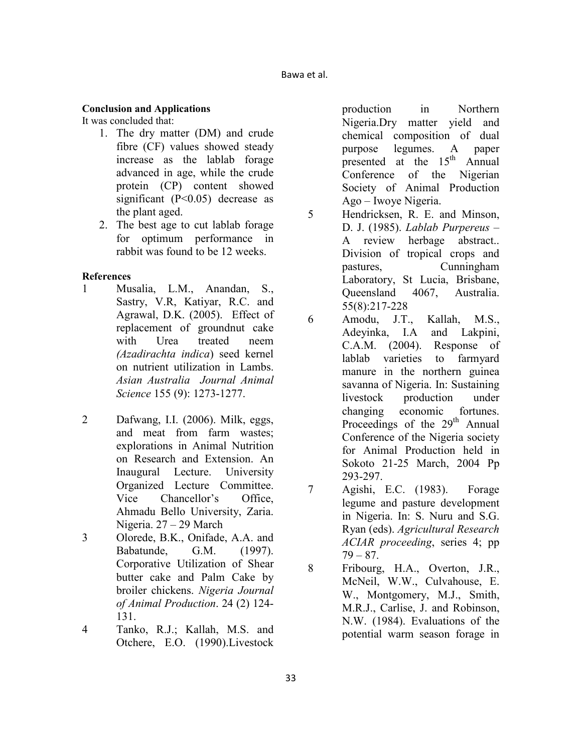## **Conclusion and Applications**

It was concluded that:

- 1. The dry matter (DM) and crude fibre (CF) values showed steady increase as the lablab forage advanced in age, while the crude protein (CP) content showed significant (P<0.05) decrease as the plant aged.
- 2. The best age to cut lablab forage for optimum performance in rabbit was found to be 12 weeks.

## **References**

- 1 Musalia, L.M., Anandan, S., Sastry, V.R, Katiyar, R.C. and Agrawal, D.K. (2005). Effect of replacement of groundnut cake with Urea treated neem *(Azadirachta indica*) seed kernel on nutrient utilization in Lambs. *Asian Australia Journal Animal Science* 155 (9): 1273-1277.
- 2 Dafwang, I.I. (2006). Milk, eggs, and meat from farm wastes; explorations in Animal Nutrition on Research and Extension. An Inaugural Lecture. University Organized Lecture Committee. Vice Chancellor's Office, Ahmadu Bello University, Zaria. Nigeria. 27 – 29 March
- 3 Olorede, B.K., Onifade, A.A. and Babatunde, G.M. (1997). Corporative Utilization of Shear butter cake and Palm Cake by broiler chickens. *Nigeria Journal of Animal Production*. 24 (2) 124- 131.
- 4 Tanko, R.J.; Kallah, M.S. and Otchere, E.O. (1990).Livestock

production in Northern Nigeria.Dry matter yield and chemical composition of dual purpose legumes. A paper presented at the  $15<sup>th</sup>$  Annual Conference of the Nigerian Society of Animal Production Ago – Iwoye Nigeria.

- 5 Hendricksen, R. E. and Minson, D. J. (1985). *Lablab Purpereus* – A review herbage abstract.. Division of tropical crops and pastures, Cunningham Laboratory, St Lucia, Brisbane, Queensland 4067, Australia. 55(8):217-228
- 6 Amodu, J.T., Kallah, M.S., Adeyinka, I.A and Lakpini, C.A.M. (2004). Response of lablab varieties to farmyard manure in the northern guinea savanna of Nigeria. In: Sustaining livestock production under changing economic fortunes. Proceedings of the 29<sup>th</sup> Annual Conference of the Nigeria society for Animal Production held in Sokoto 21-25 March, 2004 Pp 293-297.
- 7 Agishi, E.C. (1983). Forage legume and pasture development in Nigeria. In: S. Nuru and S.G. Ryan (eds). *Agricultural Research ACIAR proceeding*, series 4; pp  $79 - 87$ .
- 8 Fribourg, H.A., Overton, J.R., McNeil, W.W., Culvahouse, E. W., Montgomery, M.J., Smith, M.R.J., Carlise, J. and Robinson, N.W. (1984). Evaluations of the potential warm season forage in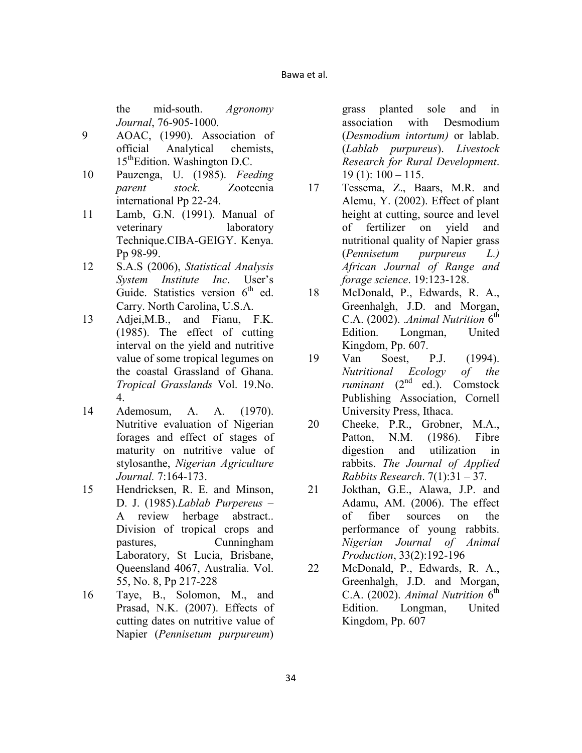the mid-south. *Agronomy Journal*, 76-905-1000.

- 9 AOAC, (1990). Association of official Analytical chemists, 15<sup>th</sup>Edition. Washington D.C.
- 10 Pauzenga, U. (1985). *Feeding parent stock*. Zootecnia international Pp 22-24.
- 11 Lamb, G.N. (1991). Manual of veterinary laboratory Technique.CIBA-GEIGY. Kenya. Pp 98-99.
- 12 S.A.S (2006), *Statistical Analysis System Institute Inc*. User's Guide. Statistics version  $6<sup>th</sup>$  ed. Carry. North Carolina, U.S.A.
- 13 Adjei,M.B., and Fianu, F.K. (1985). The effect of cutting interval on the yield and nutritive value of some tropical legumes on the coastal Grassland of Ghana. *Tropical Grasslands* Vol. 19.No. 4.
- 14 Ademosum, A. A. (1970). Nutritive evaluation of Nigerian forages and effect of stages of maturity on nutritive value of stylosanthe, *Nigerian Agriculture Journal.* 7:164-173.
- 15 Hendricksen, R. E. and Minson, D. J. (1985).*Lablab Purpereus* – A review herbage abstract.. Division of tropical crops and pastures, Cunningham Laboratory, St Lucia, Brisbane, Queensland 4067, Australia. Vol. 55, No. 8, Pp 217-228
- 16 Taye, B., Solomon, M., and Prasad, N.K. (2007). Effects of cutting dates on nutritive value of Napier (*Pennisetum purpureum*)

grass planted sole and in association with Desmodium (*Desmodium intortum)* or lablab. (*Lablab purpureus*). *Livestock Research for Rural Development*.  $19(1): 100 - 115.$ 

- 17 Tessema, Z., Baars, M.R. and Alemu, Y. (2002). Effect of plant height at cutting, source and level of fertilizer on yield and nutritional quality of Napier grass (*Pennisetum purpureus L.) African Journal of Range and forage science*. 19:123-128.
- 18 McDonald, P., Edwards, R. A., Greenhalgh, J.D. and Morgan, C.A.  $(2002)$ . *Animal Nutrition*  $6<sup>th</sup>$ Edition. Longman, United Kingdom, Pp. 607.
- 19 Van Soest, P.J. (1994). *utritional Ecology of the ruminant* (2nd ed.). Comstock Publishing Association, Cornell University Press, Ithaca.
- 20 Cheeke, P.R., Grobner, M.A., Patton, N.M. (1986). Fibre digestion and utilization in rabbits. *The Journal of Applied Rabbits Research*. 7(1):31 – 37.
- 21 Jokthan, G.E., Alawa, J.P. and Adamu, AM. (2006). The effect of fiber sources on the performance of young rabbits. *igerian Journal of Animal Production*, 33(2):192-196
- 22 McDonald, P., Edwards, R. A., Greenhalgh, J.D. and Morgan, C.A.  $(2002)$ . *Animal Nutrition*  $6<sup>th</sup>$ Edition. Longman, United Kingdom, Pp. 607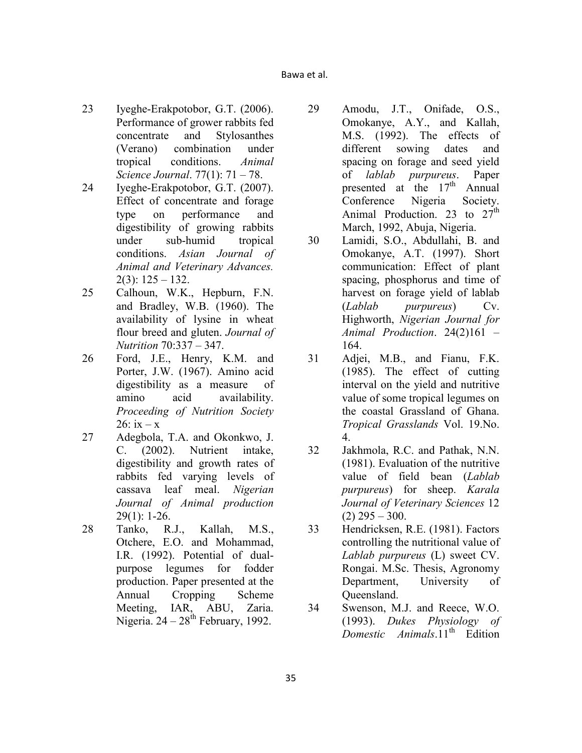- 23 Iyeghe-Erakpotobor, G.T. (2006). Performance of grower rabbits fed concentrate and Stylosanthes (Verano) combination under tropical conditions. *Animal Science Journal*. 77(1): 71 – 78.
- 24 Iyeghe-Erakpotobor, G.T. (2007). Effect of concentrate and forage type on performance and digestibility of growing rabbits under sub-humid tropical conditions. *Asian Journal of Animal and Veterinary Advances.*  $2(3)$ :  $125 - 132$ .
- 25 Calhoun, W.K., Hepburn, F.N. and Bradley, W.B. (1960). The availability of lysine in wheat flour breed and gluten. *Journal of utrition* 70:337 – 347.
- 26 Ford, J.E., Henry, K.M. and Porter, J.W. (1967). Amino acid digestibility as a measure of amino acid availability. *Proceeding of Nutrition Society*  $26:$  ix  $-x$
- 27 Adegbola, T.A. and Okonkwo, J. C. (2002). Nutrient intake, digestibility and growth rates of rabbits fed varying levels of cassava leaf meal. *Nigerian Journal of Animal production* 29(1): 1-26.
- 28 Tanko, R.J., Kallah, M.S., Otchere, E.O. and Mohammad, I.R. (1992). Potential of dualpurpose legumes for fodder production. Paper presented at the Annual Cropping Scheme Meeting, IAR, ABU, Zaria. Nigeria.  $24 - 28$ <sup>th</sup> February, 1992.
- 29 Amodu, J.T., Onifade, O.S., Omokanye, A.Y., and Kallah, M.S. (1992). The effects of different sowing dates and spacing on forage and seed yield of *lablab purpureus*. Paper presented at the  $17<sup>th</sup>$  Annual Conference Nigeria Society. Animal Production. 23 to  $27<sup>th</sup>$ March, 1992, Abuja, Nigeria.
- 30 Lamidi, S.O., Abdullahi, B. and Omokanye, A.T. (1997). Short communication: Effect of plant spacing, phosphorus and time of harvest on forage yield of lablab (*Lablab purpureus*) Cv. Highworth, *Nigerian Journal for Animal Production*. 24(2)161 – 164.
- 31 Adjei, M.B., and Fianu, F.K. (1985). The effect of cutting interval on the yield and nutritive value of some tropical legumes on the coastal Grassland of Ghana. *Tropical Grasslands* Vol. 19.No. 4.
- 32 Jakhmola, R.C. and Pathak, N.N. (1981). Evaluation of the nutritive value of field bean (*Lablab purpureus*) for sheep. *Karala Journal of Veterinary Sciences* 12  $(2)$  295 – 300.
- 33 Hendricksen, R.E. (1981). Factors controlling the nutritional value of *Lablab purpureus* (L) sweet CV. Rongai. M.Sc. Thesis, Agronomy Department, University of Queensland.
- 34 Swenson, M.J. and Reece, W.O. (1993). *Dukes Physiology of Domestic Animals* 11<sup>th</sup> Edition